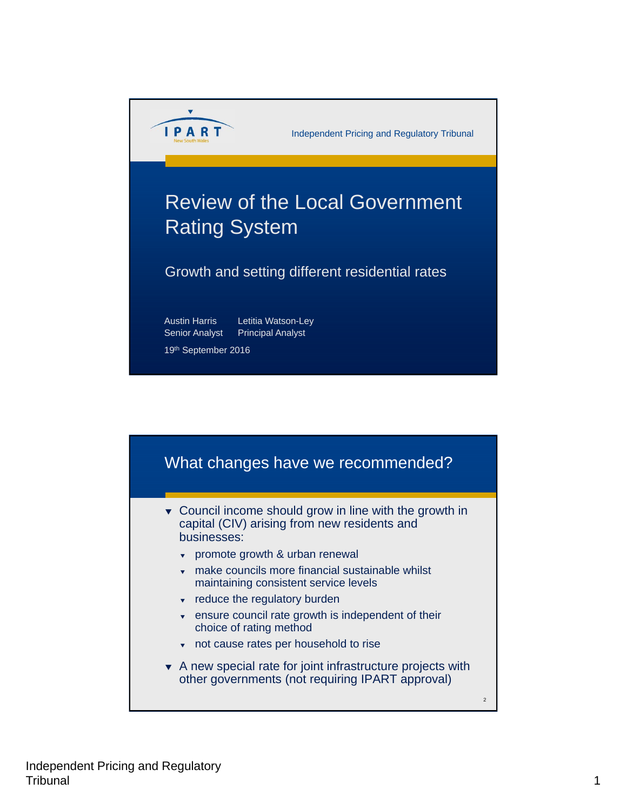

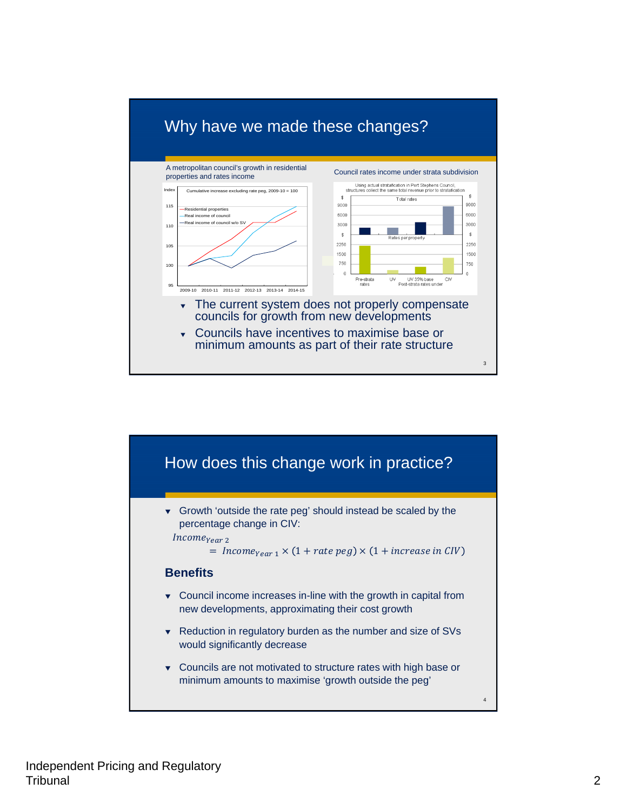

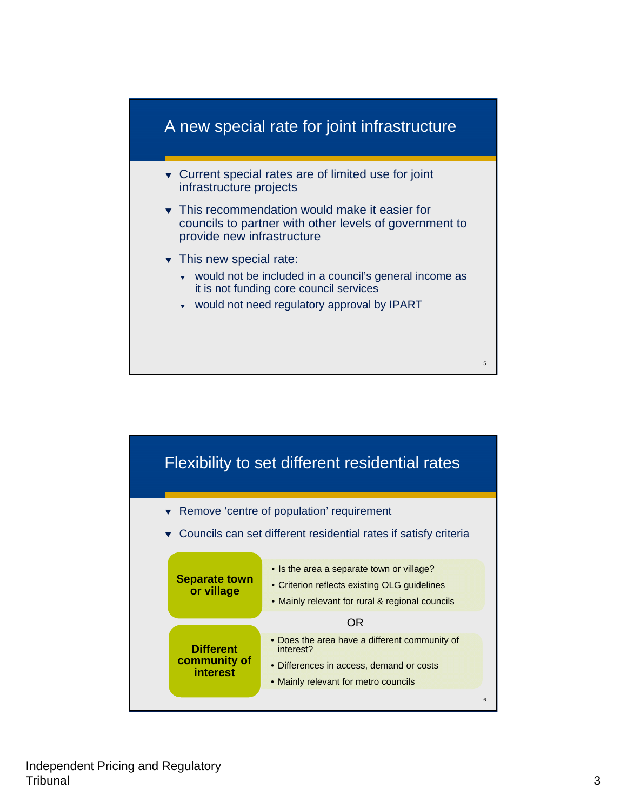

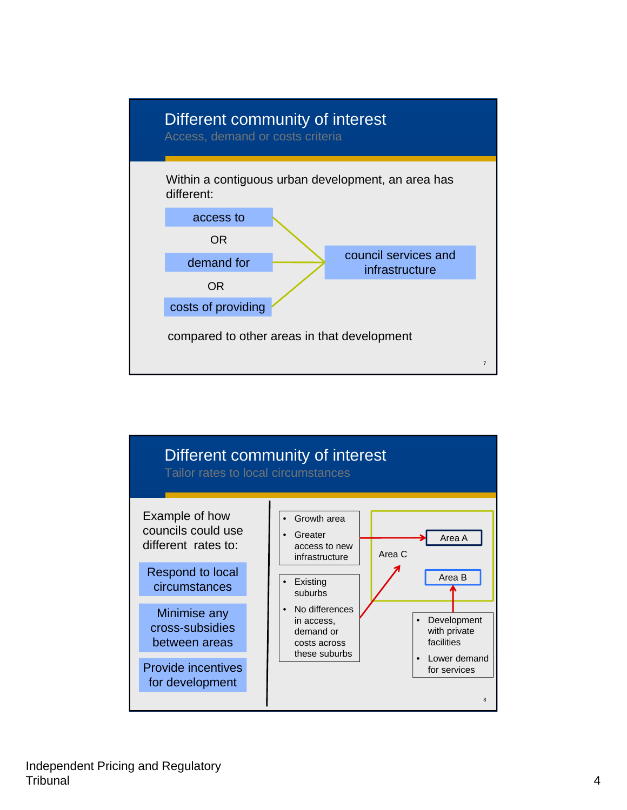

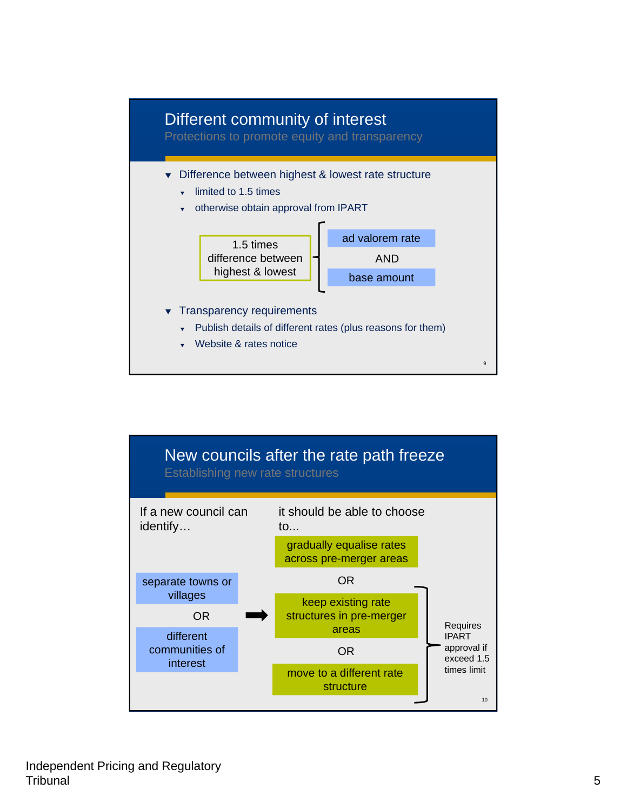

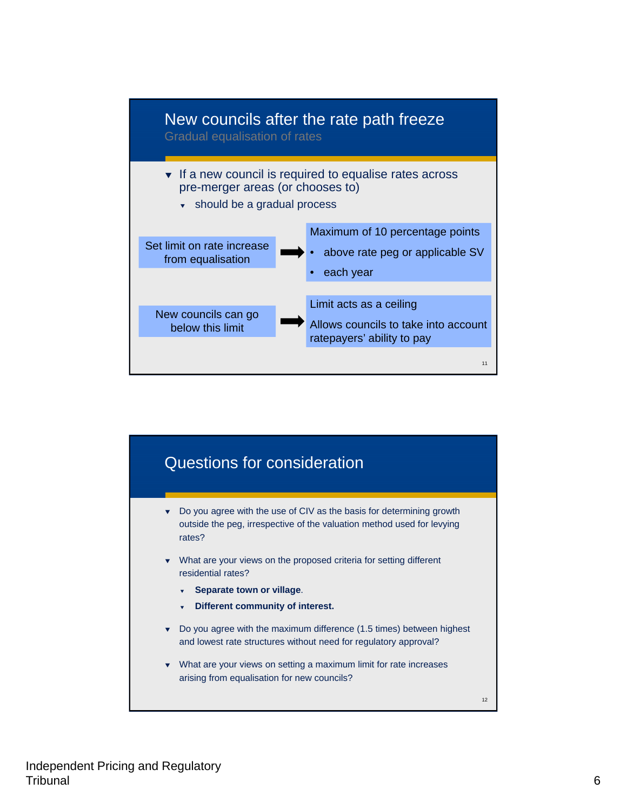